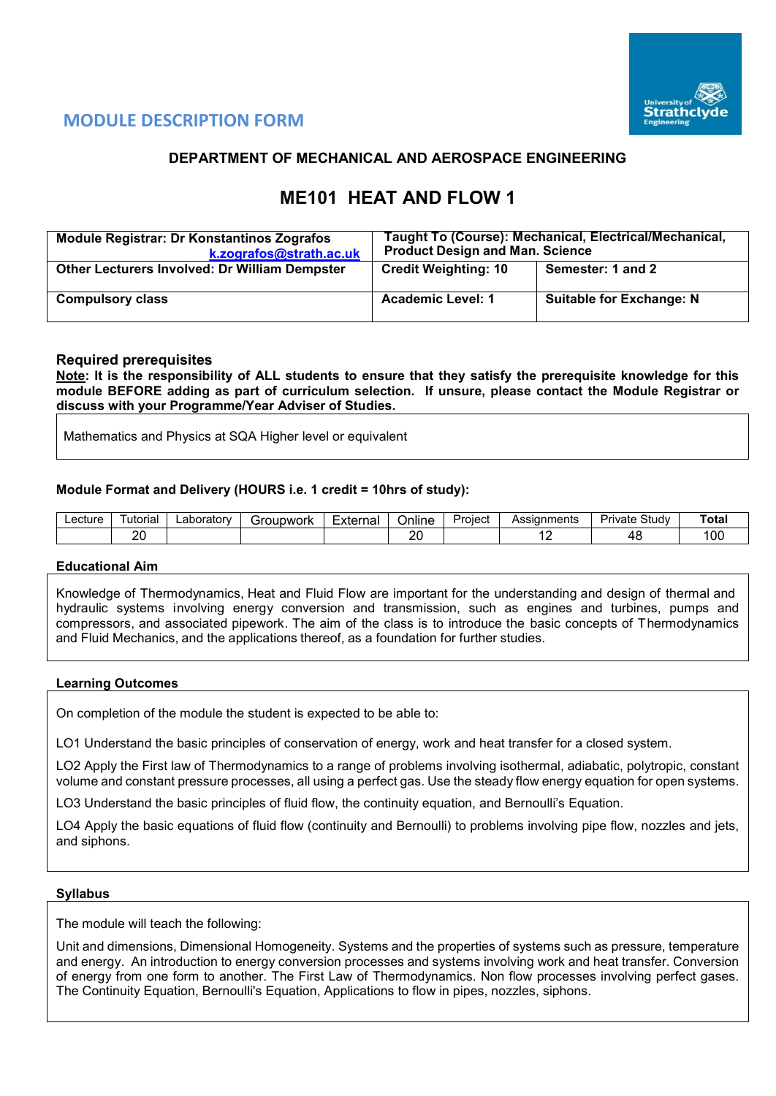

# **MODULE DESCRIPTION FORM**

## **DEPARTMENT OF MECHANICAL AND AEROSPACE ENGINEERING**

# **ME101 HEAT AND FLOW 1**

| <b>Module Registrar: Dr Konstantinos Zografos</b><br>k.zografos@strath.ac.uk | Taught To (Course): Mechanical, Electrical/Mechanical,<br><b>Product Design and Man. Science</b> |                                 |  |  |  |  |
|------------------------------------------------------------------------------|--------------------------------------------------------------------------------------------------|---------------------------------|--|--|--|--|
| <b>Other Lecturers Involved: Dr William Dempster</b>                         | <b>Credit Weighting: 10</b>                                                                      | Semester: 1 and 2               |  |  |  |  |
| <b>Compulsory class</b>                                                      | <b>Academic Level: 1</b>                                                                         | <b>Suitable for Exchange: N</b> |  |  |  |  |

### **Required prerequisites**

**Note: It is the responsibility of ALL students to ensure that they satisfy the prerequisite knowledge for this module BEFORE adding as part of curriculum selection. If unsure, please contact the Module Registrar or discuss with your Programme/Year Adviser of Studies.**

Mathematics and Physics at SQA Higher level or equivalent

### **Module Format and Delivery (HOURS i.e. 1 credit = 10hrs of study):**

| ∟ecture | utoriai   | ∟aboratorv | Groupwork | External | Online    | -<br>Project | Assianments | Study<br>Private | Total |
|---------|-----------|------------|-----------|----------|-----------|--------------|-------------|------------------|-------|
|         | oc<br>LV. |            |           |          | or<br>$-$ |              |             |                  | 100   |

#### **Educational Aim**

Knowledge of Thermodynamics, Heat and Fluid Flow are important for the understanding and design of thermal and hydraulic systems involving energy conversion and transmission, such as engines and turbines, pumps and compressors, and associated pipework. The aim of the class is to introduce the basic concepts of Thermodynamics and Fluid Mechanics, and the applications thereof, as a foundation for further studies.

#### **Learning Outcomes**

On completion of the module the student is expected to be able to:

LO1 Understand the basic principles of conservation of energy, work and heat transfer for a closed system.

LO2 Apply the First law of Thermodynamics to a range of problems involving isothermal, adiabatic, polytropic, constant volume and constant pressure processes, all using a perfect gas. Use the steady flow energy equation for open systems.

LO3 Understand the basic principles of fluid flow, the continuity equation, and Bernoulli's Equation.

LO4 Apply the basic equations of fluid flow (continuity and Bernoulli) to problems involving pipe flow, nozzles and jets, and siphons.

#### **Syllabus**

The module will teach the following:

Unit and dimensions, Dimensional Homogeneity. Systems and the properties of systems such as pressure, temperature and energy. An introduction to energy conversion processes and systems involving work and heat transfer. Conversion of energy from one form to another. The First Law of Thermodynamics. Non flow processes involving perfect gases. The Continuity Equation, Bernoulli's Equation, Applications to flow in pipes, nozzles, siphons.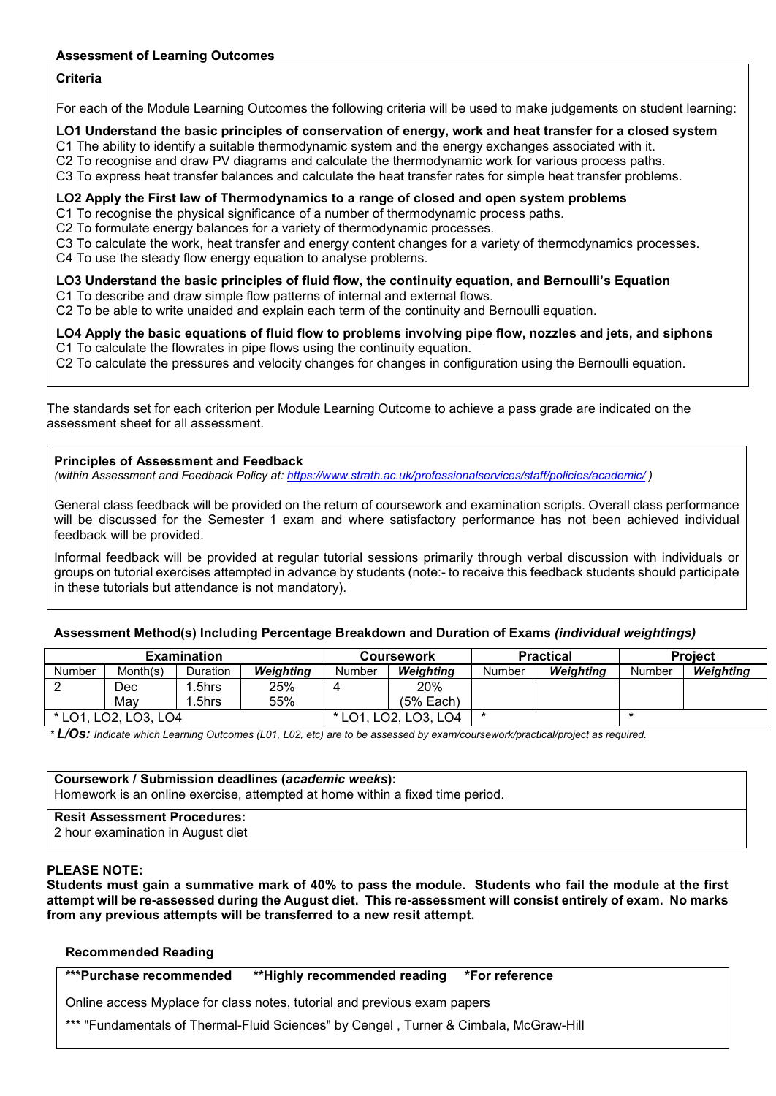## **Assessment of Learning Outcomes**

## **Criteria**

For each of the Module Learning Outcomes the following criteria will be used to make judgements on student learning:

#### **LO1 Understand the basic principles of conservation of energy, work and heat transfer for a closed system**

C1 The ability to identify a suitable thermodynamic system and the energy exchanges associated with it.

C2 To recognise and draw PV diagrams and calculate the thermodynamic work for various process paths.

C3 To express heat transfer balances and calculate the heat transfer rates for simple heat transfer problems.

#### **LO2 Apply the First law of Thermodynamics to a range of closed and open system problems**

C1 To recognise the physical significance of a number of thermodynamic process paths.

C2 To formulate energy balances for a variety of thermodynamic processes.

C3 To calculate the work, heat transfer and energy content changes for a variety of thermodynamics processes.

C4 To use the steady flow energy equation to analyse problems.

## **LO3 Understand the basic principles of fluid flow, the continuity equation, and Bernoulli's Equation**

C1 To describe and draw simple flow patterns of internal and external flows.

C2 To be able to write unaided and explain each term of the continuity and Bernoulli equation.

**LO4 Apply the basic equations of fluid flow to problems involving pipe flow, nozzles and jets, and siphons**  C1 To calculate the flowrates in pipe flows using the continuity equation.

C2 To calculate the pressures and velocity changes for changes in configuration using the Bernoulli equation.

The standards set for each criterion per Module Learning Outcome to achieve a pass grade are indicated on the assessment sheet for all assessment.

### **Principles of Assessment and Feedback**

*(within Assessment and Feedback Policy at: <https://www.strath.ac.uk/professionalservices/staff/policies/academic/> )*

General class feedback will be provided on the return of coursework and examination scripts. Overall class performance will be discussed for the Semester 1 exam and where satisfactory performance has not been achieved individual feedback will be provided.

Informal feedback will be provided at regular tutorial sessions primarily through verbal discussion with individuals or groups on tutorial exercises attempted in advance by students (note:- to receive this feedback students should participate in these tutorials but attendance is not mandatory).

## **Assessment Method(s) Including Percentage Breakdown and Duration of Exams** *(individual weightings)*

|               |                    | <b>Examination</b> |           |             | <b>Coursework</b> |        | <b>Practical</b> | <b>Project</b> |           |
|---------------|--------------------|--------------------|-----------|-------------|-------------------|--------|------------------|----------------|-----------|
| Number        | Month(s)           | <b>Duration</b>    | Weighting | Number      | Weighting         | Number | Weiahtina        | Number         | Weighting |
| <u>_</u>      | Dec                | .5hrs              | 25%       |             | 20%               |        |                  |                |           |
|               | Mav                | .5hrs              | 55%       |             | (5% Each)         |        |                  |                |           |
| $*1$ $\cap$ 1 | LO2. I<br>LO3. LO4 |                    |           | LO3.<br>LO4 |                   |        |                  |                |           |

*\* L/Os: Indicate which Learning Outcomes (L01, L02, etc) are to be assessed by exam/coursework/practical/project as required.*

**Coursework / Submission deadlines (***academic weeks***):** Homework is an online exercise, attempted at home within a fixed time period.

#### **Resit Assessment Procedures:**

2 hour examination in August diet

## **PLEASE NOTE:**

**Students must gain a summative mark of 40% to pass the module. Students who fail the module at the first attempt will be re-assessed during the August diet. This re-assessment will consist entirely of exam. No marks from any previous attempts will be transferred to a new resit attempt.**

#### **Recommended Reading**

**\*\*\*Purchase recommended \*\*Highly recommended reading \*For reference** 

Online access Myplace for class notes, tutorial and previous exam papers

\*\*\* "Fundamentals of Thermal-Fluid Sciences" by Cengel, Turner & Cimbala, McGraw-Hill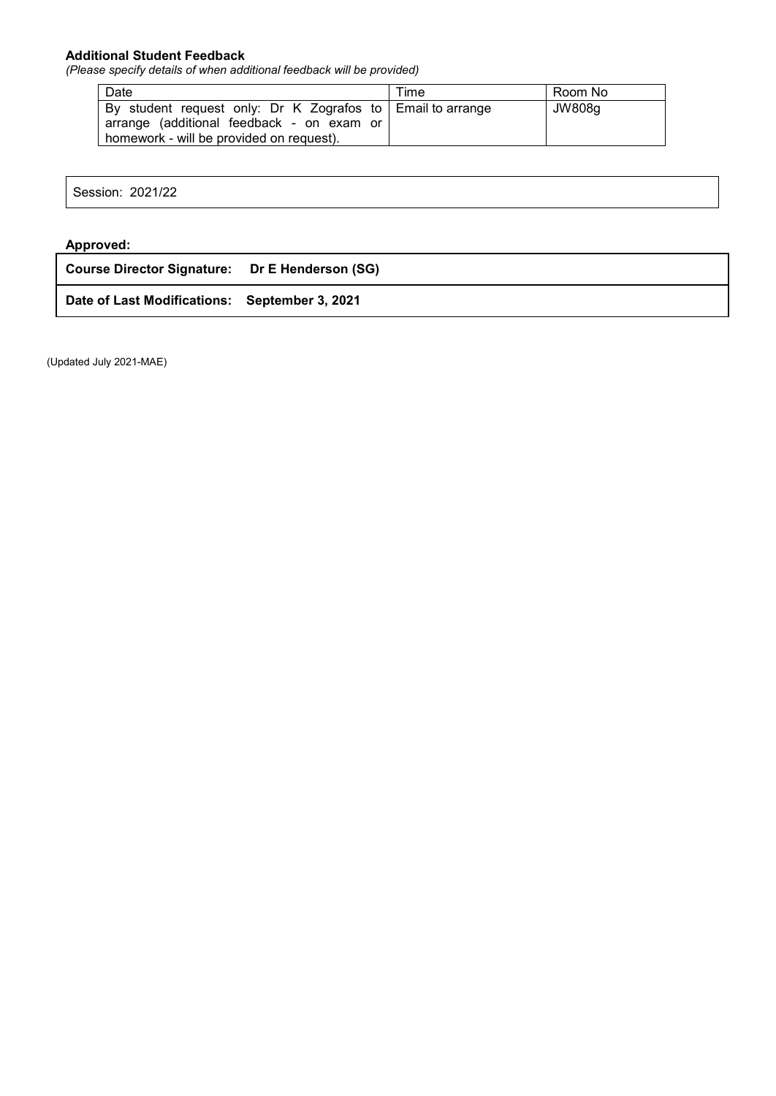## **Additional Student Feedback**

*(Please specify details of when additional feedback will be provided)*

| Date                                                                                                                                                  | Time | Room No |
|-------------------------------------------------------------------------------------------------------------------------------------------------------|------|---------|
| By student request only: Dr K Zografos to   Email to arrange<br>arrange (additional feedback - on exam or<br>homework - will be provided on request). |      | JW808g  |

Session: 2021/22

## **Approved:**

| Course Director Signature: Dr E Henderson (SG) |  |
|------------------------------------------------|--|
| Date of Last Modifications: September 3, 2021  |  |

(Updated July 2021-MAE)